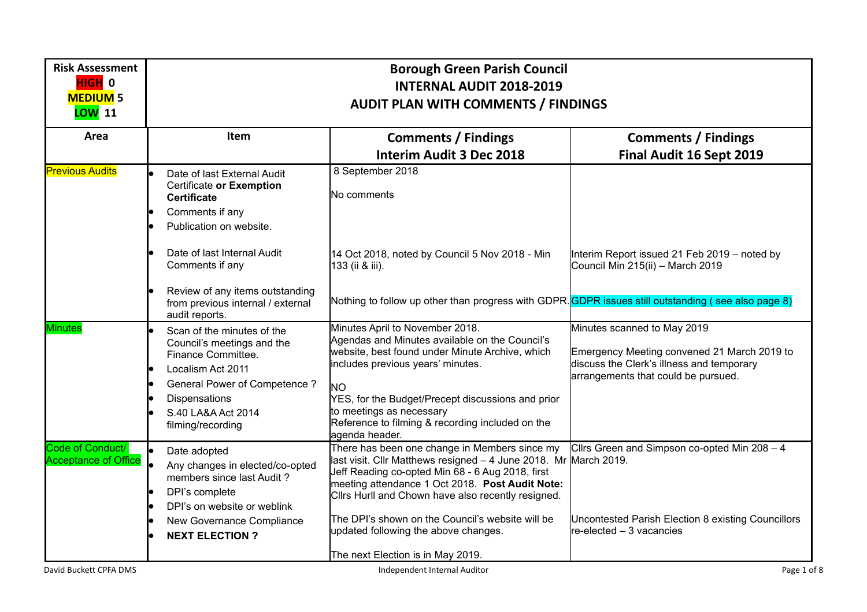| <b>Risk Assessment</b><br>HIGH <sup>0</sup><br><b>MEDIUM 5</b><br><b>LOW</b> 11 | <b>Borough Green Parish Council</b><br><b>INTERNAL AUDIT 2018-2019</b><br><b>AUDIT PLAN WITH COMMENTS / FINDINGS</b>                                                                                   |                                                                                                                                                                                                                                                                                                                                                                                                                 |                                                                                                                                                                |  |  |
|---------------------------------------------------------------------------------|--------------------------------------------------------------------------------------------------------------------------------------------------------------------------------------------------------|-----------------------------------------------------------------------------------------------------------------------------------------------------------------------------------------------------------------------------------------------------------------------------------------------------------------------------------------------------------------------------------------------------------------|----------------------------------------------------------------------------------------------------------------------------------------------------------------|--|--|
| Area                                                                            | Item                                                                                                                                                                                                   | <b>Comments / Findings</b><br><b>Interim Audit 3 Dec 2018</b>                                                                                                                                                                                                                                                                                                                                                   | <b>Comments / Findings</b><br>Final Audit 16 Sept 2019                                                                                                         |  |  |
| <b>Previous Audits</b>                                                          | Date of last External Audit<br>Certificate or Exemption<br><b>Certificate</b><br>Comments if any<br>Publication on website.                                                                            | 8 September 2018<br>No comments                                                                                                                                                                                                                                                                                                                                                                                 |                                                                                                                                                                |  |  |
|                                                                                 | Date of last Internal Audit<br>Comments if any                                                                                                                                                         | 14 Oct 2018, noted by Council 5 Nov 2018 - Min<br>133 (ii & iii).                                                                                                                                                                                                                                                                                                                                               | Interim Report issued 21 Feb 2019 - noted by<br>Council Min 215(ii) - March 2019                                                                               |  |  |
|                                                                                 | Review of any items outstanding<br>from previous internal / external<br>audit reports.                                                                                                                 | Nothing to follow up other than progress with GDPR. GDPR issues still outstanding (see also page 8)                                                                                                                                                                                                                                                                                                             |                                                                                                                                                                |  |  |
| <b>Minutes</b>                                                                  | Scan of the minutes of the<br>Council's meetings and the<br>Finance Committee.<br>Localism Act 2011<br><b>General Power of Competence?</b><br>Dispensations<br>S.40 LA&A Act 2014<br>filming/recording | Minutes April to November 2018.<br>Agendas and Minutes available on the Council's<br>website, best found under Minute Archive, which<br>includes previous years' minutes.<br><b>NO</b><br>YES, for the Budget/Precept discussions and prior<br>to meetings as necessary<br>Reference to filming & recording included on the<br>agenda header.                                                                   | Minutes scanned to May 2019<br>Emergency Meeting convened 21 March 2019 to<br>discuss the Clerk's illness and temporary<br>arrangements that could be pursued. |  |  |
| Code of Conduct/<br><b>Acceptance of Office</b>                                 | Date adopted<br>Any changes in elected/co-opted<br>members since last Audit?<br>DPI's complete<br>DPI's on website or weblink<br>New Governance Compliance<br><b>NEXT ELECTION?</b>                    | There has been one change in Members since my<br>last visit. Cllr Matthews resigned - 4 June 2018. Mr March 2019.<br>Jeff Reading co-opted Min 68 - 6 Aug 2018, first<br>meeting attendance 1 Oct 2018. Post Audit Note:<br>Clirs Hurll and Chown have also recently resigned.<br>The DPI's shown on the Council's website will be<br>updated following the above changes.<br>The next Election is in May 2019. | Cllrs Green and Simpson co-opted Min 208 - 4<br>Uncontested Parish Election 8 existing Councillors<br>re-elected - 3 vacancies                                 |  |  |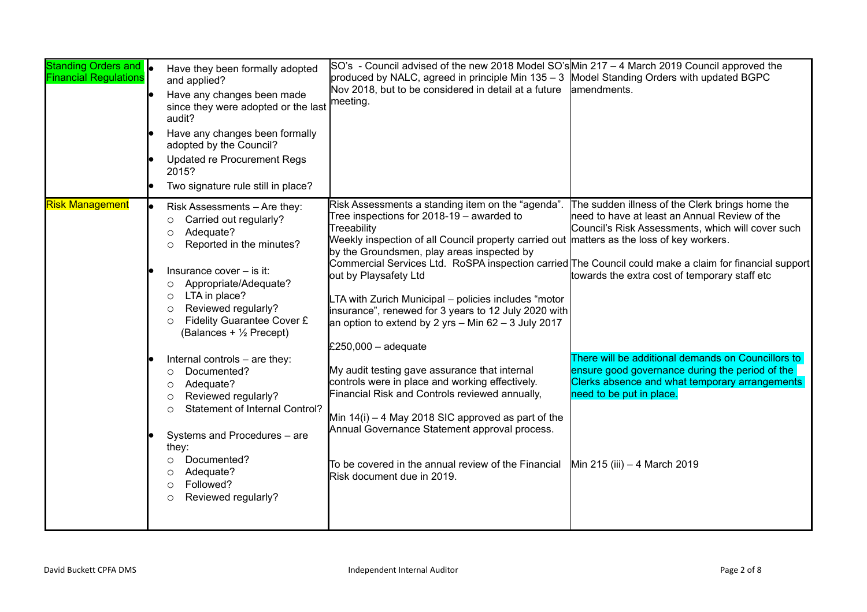| Standing Orders and  <br><b>Financial Regulations</b> |    | Have they been formally adopted<br>and applied?<br>Have any changes been made<br>since they were adopted or the last<br>audit?<br>Have any changes been formally<br>adopted by the Council?<br><b>Updated re Procurement Regs</b><br>2015?<br>Two signature rule still in place?                                                                                                   | $SO's$ - Council advised of the new 2018 Model $SO's$ Min 217 – 4 March 2019 Council approved the<br>produced by NALC, agreed in principle Min 135 - 3 Model Standing Orders with updated BGPC<br>Nov 2018, but to be considered in detail at a future<br>meeting.                                                                                                                                                                                                                                                                                                                        | amendments.                                                                                                                                                                                                                                                                                                                                                                                                                                                                 |
|-------------------------------------------------------|----|------------------------------------------------------------------------------------------------------------------------------------------------------------------------------------------------------------------------------------------------------------------------------------------------------------------------------------------------------------------------------------|-------------------------------------------------------------------------------------------------------------------------------------------------------------------------------------------------------------------------------------------------------------------------------------------------------------------------------------------------------------------------------------------------------------------------------------------------------------------------------------------------------------------------------------------------------------------------------------------|-----------------------------------------------------------------------------------------------------------------------------------------------------------------------------------------------------------------------------------------------------------------------------------------------------------------------------------------------------------------------------------------------------------------------------------------------------------------------------|
| <b>Risk Management</b>                                | le | Risk Assessments - Are they:<br>Carried out regularly?<br>O<br>Adequate?<br>O<br>Reported in the minutes?<br>$\circ$<br>Insurance cover - is it:<br>Appropriate/Adequate?<br>$\circ$<br>LTA in place?<br>$\circ$<br>Reviewed regularly?<br>$\circ$<br>Fidelity Guarantee Cover £<br>$\circ$<br>(Balances + 1/2 Precept)<br>Internal controls - are they:<br>Documented?<br>$\circ$ | Risk Assessments a standing item on the "agenda".<br>Tree inspections for 2018-19 - awarded to<br>Treeability<br>Weekly inspection of all Council property carried out matters as the loss of key workers.<br>by the Groundsmen, play areas inspected by<br>out by Playsafety Ltd<br>LTA with Zurich Municipal - policies includes "motor<br>insurance", renewed for 3 years to 12 July 2020 with<br>an option to extend by 2 yrs $-$ Min 62 $-$ 3 July 2017<br>£250,000 $-$ adequate<br>My audit testing gave assurance that internal<br>controls were in place and working effectively. | The sudden illness of the Clerk brings home the<br>need to have at least an Annual Review of the<br>Council's Risk Assessments, which will cover such<br>Commercial Services Ltd. RoSPA inspection carried The Council could make a claim for financial support<br>towards the extra cost of temporary staff etc<br>There will be additional demands on Councillors to<br>ensure good governance during the period of the<br>Clerks absence and what temporary arrangements |
|                                                       |    | Adequate?<br>$\circ$<br>Reviewed regularly?<br>O<br><b>Statement of Internal Control?</b><br>$\bigcirc$<br>Systems and Procedures - are<br>they:<br>Documented?<br>$\circ$<br>Adequate?<br>O<br>Followed?<br>$\circ$<br>Reviewed regularly?<br>$\circ$                                                                                                                             | Financial Risk and Controls reviewed annually,<br>Min $14(i) - 4$ May 2018 SIC approved as part of the<br>Annual Governance Statement approval process.<br>To be covered in the annual review of the Financial<br>Risk document due in 2019.                                                                                                                                                                                                                                                                                                                                              | need to be put in place.<br>Min 215 (iii) - 4 March 2019                                                                                                                                                                                                                                                                                                                                                                                                                    |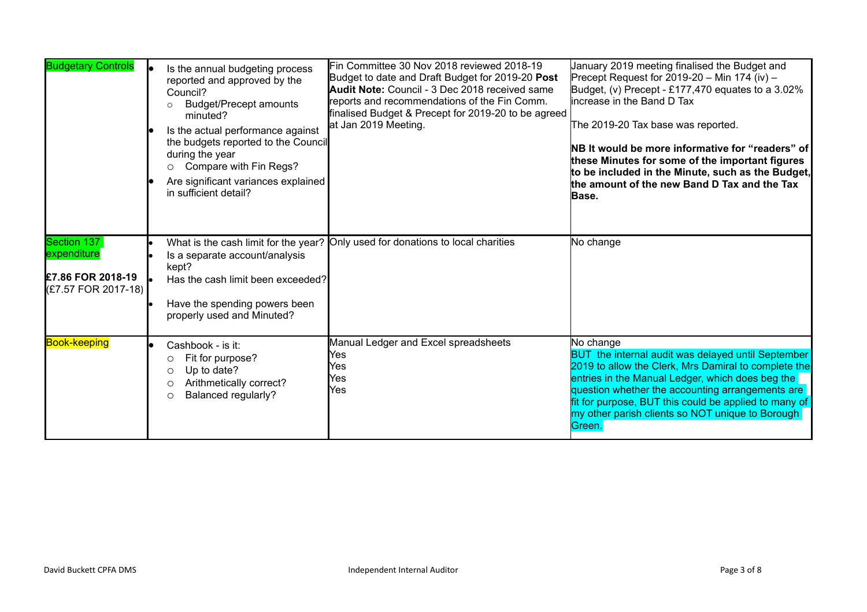| <b>Budgetary Controls</b>                                              | Is the annual budgeting process<br>reported and approved by the<br>Council?<br><b>Budget/Precept amounts</b><br>$\circ$<br>minuted?<br>Is the actual performance against<br>the budgets reported to the Council<br>during the year<br>O Compare with Fin Regs?<br>Are significant variances explained<br>in sufficient detail? | Fin Committee 30 Nov 2018 reviewed 2018-19<br>Budget to date and Draft Budget for 2019-20 Post<br>Audit Note: Council - 3 Dec 2018 received same<br>reports and recommendations of the Fin Comm.<br>finalised Budget & Precept for 2019-20 to be agreed<br>at Jan 2019 Meeting. | January 2019 meeting finalised the Budget and<br>Precept Request for 2019-20 - Min 174 (iv) -<br>Budget, (v) Precept - £177,470 equates to a 3.02%<br>lincrease in the Band D Tax<br>The 2019-20 Tax base was reported.<br>NB It would be more informative for "readers" of<br>these Minutes for some of the important figures<br>to be included in the Minute, such as the Budget,<br>the amount of the new Band D Tax and the Tax<br>Base. |
|------------------------------------------------------------------------|--------------------------------------------------------------------------------------------------------------------------------------------------------------------------------------------------------------------------------------------------------------------------------------------------------------------------------|---------------------------------------------------------------------------------------------------------------------------------------------------------------------------------------------------------------------------------------------------------------------------------|----------------------------------------------------------------------------------------------------------------------------------------------------------------------------------------------------------------------------------------------------------------------------------------------------------------------------------------------------------------------------------------------------------------------------------------------|
| Section 137<br>expenditure<br>£7.86 FOR 2018-19<br>(£7.57 FOR 2017-18) | What is the cash limit for the year?<br>Is a separate account/analysis<br>kept?<br>Has the cash limit been exceeded?<br>Have the spending powers been<br>properly used and Minuted?                                                                                                                                            | Only used for donations to local charities                                                                                                                                                                                                                                      | No change                                                                                                                                                                                                                                                                                                                                                                                                                                    |
| <b>Book-keeping</b>                                                    | Cashbook - is it:<br>Fit for purpose?<br>O<br>Up to date?<br>Ο<br>Arithmetically correct?<br>Ο<br><b>Balanced regularly?</b><br>O                                                                                                                                                                                              | Manual Ledger and Excel spreadsheets<br>Yes<br>Yes<br>Yes<br>Yes                                                                                                                                                                                                                | No change<br>BUT the internal audit was delayed until September<br>2019 to allow the Clerk, Mrs Damiral to complete the<br>entries in the Manual Ledger, which does beg the<br>question whether the accounting arrangements are<br>fit for purpose, BUT this could be applied to many of<br>my other parish clients so NOT unique to Borough<br>Green.                                                                                       |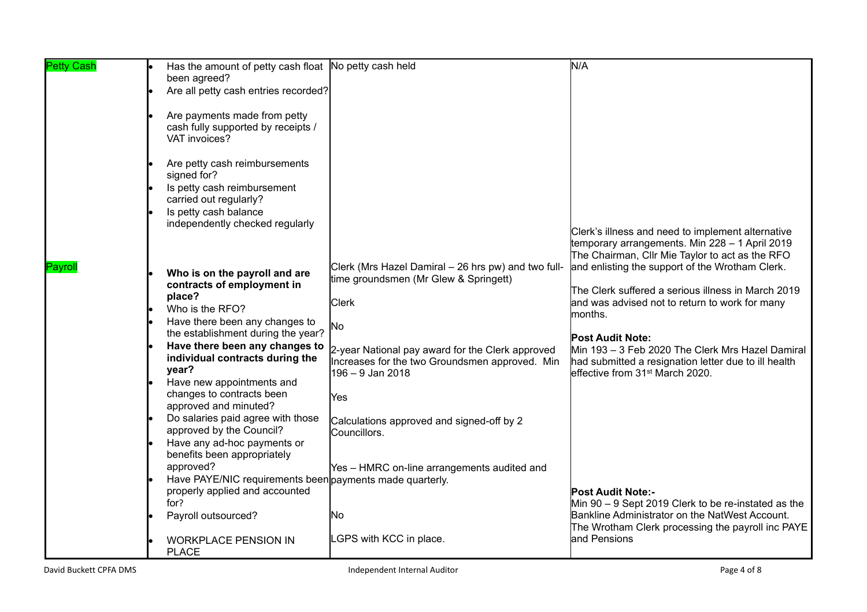| <b>Petty Cash</b> | Has the amount of petty cash float No petty cash held                                      |                                                     | N/A                                                                             |
|-------------------|--------------------------------------------------------------------------------------------|-----------------------------------------------------|---------------------------------------------------------------------------------|
|                   | been agreed?                                                                               |                                                     |                                                                                 |
|                   | Are all petty cash entries recorded?                                                       |                                                     |                                                                                 |
|                   |                                                                                            |                                                     |                                                                                 |
|                   | Are payments made from petty                                                               |                                                     |                                                                                 |
|                   | cash fully supported by receipts /                                                         |                                                     |                                                                                 |
|                   | VAT invoices?                                                                              |                                                     |                                                                                 |
|                   |                                                                                            |                                                     |                                                                                 |
|                   | Are petty cash reimbursements                                                              |                                                     |                                                                                 |
|                   | signed for?                                                                                |                                                     |                                                                                 |
|                   | Is petty cash reimbursement                                                                |                                                     |                                                                                 |
|                   | carried out regularly?                                                                     |                                                     |                                                                                 |
|                   | Is petty cash balance<br>independently checked regularly                                   |                                                     |                                                                                 |
|                   |                                                                                            |                                                     | Clerk's illness and need to implement alternative                               |
|                   |                                                                                            |                                                     | temporary arrangements. Min 228 - 1 April 2019                                  |
|                   |                                                                                            |                                                     | The Chairman, Cllr Mie Taylor to act as the RFO                                 |
| Payroll           | Who is on the payroll and are                                                              | Clerk (Mrs Hazel Damiral – 26 hrs pw) and two full- | and enlisting the support of the Wrotham Clerk.                                 |
|                   | contracts of employment in                                                                 | time groundsmen (Mr Glew & Springett)               |                                                                                 |
|                   | place?                                                                                     |                                                     | The Clerk suffered a serious illness in March 2019                              |
|                   | Who is the RFO?                                                                            | <b>Clerk</b>                                        | and was advised not to return to work for many                                  |
|                   | Have there been any changes to                                                             |                                                     | months.                                                                         |
|                   | the establishment during the year?                                                         | No                                                  | <b>Post Audit Note:</b>                                                         |
|                   | Have there been any changes to                                                             | 2-year National pay award for the Clerk approved    | Min 193 – 3 Feb 2020 The Clerk Mrs Hazel Damiral                                |
|                   | individual contracts during the                                                            | Increases for the two Groundsmen approved. Min      | had submitted a resignation letter due to ill health                            |
|                   | year?                                                                                      | 196 – 9 Jan 2018                                    | leffective from 31st March 2020.                                                |
|                   | Have new appointments and                                                                  |                                                     |                                                                                 |
|                   | changes to contracts been                                                                  | IYes                                                |                                                                                 |
|                   | approved and minuted?                                                                      |                                                     |                                                                                 |
|                   | Do salaries paid agree with those                                                          | Calculations approved and signed-off by 2           |                                                                                 |
|                   | approved by the Council?                                                                   | Councillors.                                        |                                                                                 |
|                   | Have any ad-hoc payments or                                                                |                                                     |                                                                                 |
|                   | benefits been appropriately                                                                |                                                     |                                                                                 |
|                   | approved?                                                                                  | Yes - HMRC on-line arrangements audited and         |                                                                                 |
|                   | Have PAYE/NIC requirements been payments made quarterly.<br>properly applied and accounted |                                                     |                                                                                 |
|                   | for?                                                                                       |                                                     | <b>Post Audit Note:-</b><br>Min 90 - 9 Sept 2019 Clerk to be re-instated as the |
|                   | Payroll outsourced?                                                                        | No                                                  | Bankline Administrator on the NatWest Account.                                  |
|                   |                                                                                            |                                                     | The Wrotham Clerk processing the payroll inc PAYE                               |
|                   | <b>WORKPLACE PENSION IN</b>                                                                | LGPS with KCC in place.                             | and Pensions                                                                    |
|                   | <b>PLACE</b>                                                                               |                                                     |                                                                                 |
|                   |                                                                                            |                                                     |                                                                                 |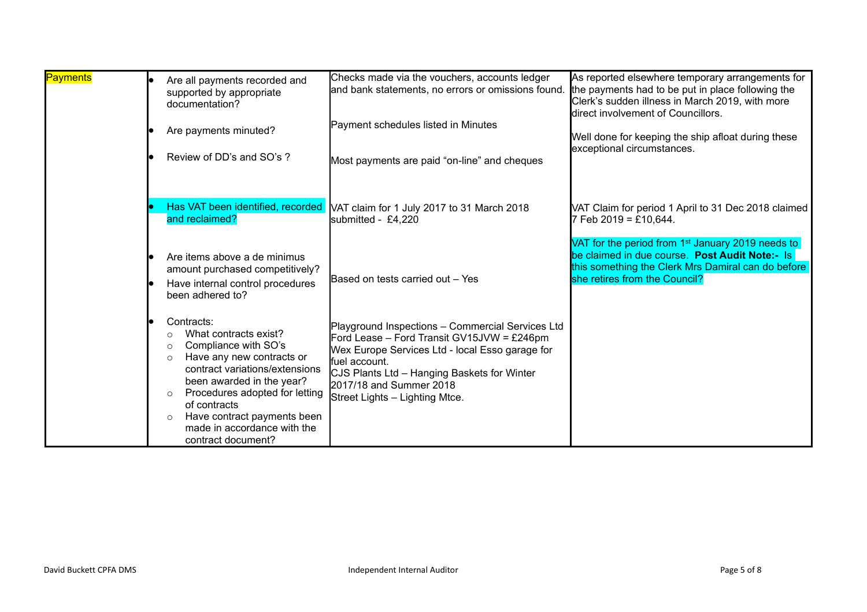| Payments | Are all payments recorded and<br>supported by appropriate<br>documentation?<br>Are payments minuted?                                                                                                                                                                                                                                       | Checks made via the vouchers, accounts ledger<br>and bank statements, no errors or omissions found.<br>Payment schedules listed in Minutes                                                                                                                                     | As reported elsewhere temporary arrangements for<br>the payments had to be put in place following the<br>Clerk's sudden illness in March 2019, with more<br>direct involvement of Councillors.<br>Well done for keeping the ship afloat during these<br>exceptional circumstances. |
|----------|--------------------------------------------------------------------------------------------------------------------------------------------------------------------------------------------------------------------------------------------------------------------------------------------------------------------------------------------|--------------------------------------------------------------------------------------------------------------------------------------------------------------------------------------------------------------------------------------------------------------------------------|------------------------------------------------------------------------------------------------------------------------------------------------------------------------------------------------------------------------------------------------------------------------------------|
|          | Review of DD's and SO's ?<br>Has VAT been identified, recorded                                                                                                                                                                                                                                                                             | Most payments are paid "on-line" and cheques<br>NAT claim for 1 July 2017 to 31 March 2018                                                                                                                                                                                     | VAT Claim for period 1 April to 31 Dec 2018 claimed                                                                                                                                                                                                                                |
|          | and reclaimed?<br>Are items above a de minimus                                                                                                                                                                                                                                                                                             | submitted - £4,220                                                                                                                                                                                                                                                             | $7$ Feb 2019 = £10,644.<br>VAT for the period from 1 <sup>st</sup> January 2019 needs to<br>be claimed in due course. Post Audit Note:- Is                                                                                                                                         |
|          | amount purchased competitively?<br>Have internal control procedures<br>been adhered to?                                                                                                                                                                                                                                                    | Based on tests carried out - Yes                                                                                                                                                                                                                                               | this something the Clerk Mrs Damiral can do before<br>she retires from the Council?                                                                                                                                                                                                |
|          | Contracts:<br>What contracts exist?<br>Compliance with SO's<br>$\circ$<br>Have any new contracts or<br>$\Omega$<br>contract variations/extensions<br>been awarded in the year?<br>Procedures adopted for letting<br>$\circ$<br>of contracts<br>Have contract payments been<br>$\circ$<br>made in accordance with the<br>contract document? | Playground Inspections - Commercial Services Ltd<br>Ford Lease - Ford Transit GV15JVW = £246pm<br>Wex Europe Services Ltd - local Esso garage for<br>fuel account.<br>CJS Plants Ltd - Hanging Baskets for Winter<br>2017/18 and Summer 2018<br>Street Lights - Lighting Mtce. |                                                                                                                                                                                                                                                                                    |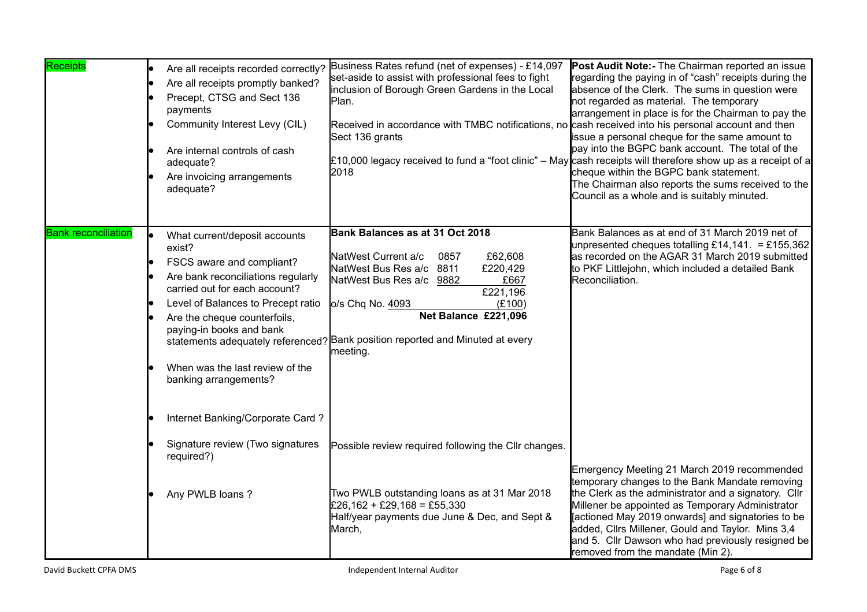| Receipts                   | Are all receipts recorded correctly?<br>Are all receipts promptly banked?<br>Precept, CTSG and Sect 136<br>payments<br>Community Interest Levy (CIL)<br>Are internal controls of cash<br>adequate?<br>Are invoicing arrangements<br>adequate?                                                             | Business Rates refund (net of expenses) - £14,097<br>set-aside to assist with professional fees to fight<br>inclusion of Borough Green Gardens in the Local<br>Plan.<br>Received in accordance with TMBC notifications, no cash received into his personal account and then<br>Sect 136 grants<br>2018               | <b>Post Audit Note:- The Chairman reported an issue</b><br>regarding the paying in of "cash" receipts during the<br>absence of the Clerk. The sums in question were<br>not regarded as material. The temporary<br>arrangement in place is for the Chairman to pay the<br>issue a personal cheque for the same amount to<br>pay into the BGPC bank account. The total of the<br>£10,000 legacy received to fund a "foot clinic" – May cash receipts will therefore show up as a receipt of a<br>cheque within the BGPC bank statement.<br>The Chairman also reports the sums received to the<br>Council as a whole and is suitably minuted. |
|----------------------------|-----------------------------------------------------------------------------------------------------------------------------------------------------------------------------------------------------------------------------------------------------------------------------------------------------------|----------------------------------------------------------------------------------------------------------------------------------------------------------------------------------------------------------------------------------------------------------------------------------------------------------------------|--------------------------------------------------------------------------------------------------------------------------------------------------------------------------------------------------------------------------------------------------------------------------------------------------------------------------------------------------------------------------------------------------------------------------------------------------------------------------------------------------------------------------------------------------------------------------------------------------------------------------------------------|
| <b>Bank reconciliation</b> | What current/deposit accounts<br>exist?<br>FSCS aware and compliant?<br>Are bank reconciliations regularly<br>carried out for each account?<br>Level of Balances to Precept ratio<br>Are the cheque counterfoils,<br>paying-in books and bank<br>When was the last review of the<br>banking arrangements? | Bank Balances as at 31 Oct 2018<br>NatWest Current a/c<br>£62,608<br>0857<br>NatWest Bus Res a/c 8811<br>£220,429<br>NatWest Bus Res a/c 9882<br>£667<br>£221,196<br>o/s Chq No. 4093<br>(E100)<br>Net Balance £221,096<br>statements adequately referenced? Bank position reported and Minuted at every<br>meeting. | Bank Balances as at end of 31 March 2019 net of<br>unpresented cheques totalling £14,141. = £155,362<br>as recorded on the AGAR 31 March 2019 submitted<br>to PKF Littlejohn, which included a detailed Bank<br>Reconciliation.                                                                                                                                                                                                                                                                                                                                                                                                            |
|                            | Internet Banking/Corporate Card?<br>Signature review (Two signatures<br>required?)<br>Any PWLB loans?                                                                                                                                                                                                     | Possible review required following the CIIr changes.<br>Two PWLB outstanding loans as at 31 Mar 2018<br>£26,162 + £29,168 = £55,330<br>Half/year payments due June & Dec, and Sept &<br>March,                                                                                                                       | Emergency Meeting 21 March 2019 recommended<br>temporary changes to the Bank Mandate removing<br>the Clerk as the administrator and a signatory. Cllr<br>Millener be appointed as Temporary Administrator<br>[actioned May 2019 onwards] and signatories to be<br>added, Cllrs Millener, Gould and Taylor. Mins 3,4<br>and 5. Cllr Dawson who had previously resigned be<br>removed from the mandate (Min 2).                                                                                                                                                                                                                              |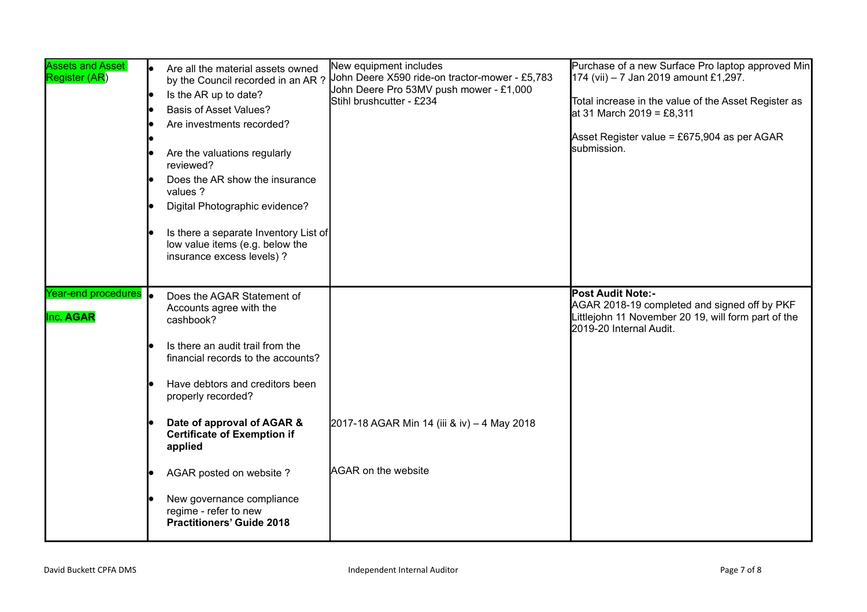| <b>Assets and Asset</b><br>Register (AR)  | Are all the material assets owned<br>by the Council recorded in an AR?<br>Is the AR up to date?<br><b>Basis of Asset Values?</b><br>Are investments recorded?<br>Are the valuations regularly<br>reviewed?<br>Does the AR show the insurance<br>values ?<br>Digital Photographic evidence?<br>Is there a separate Inventory List of<br>low value items (e.g. below the<br>insurance excess levels) ? | New equipment includes<br>Stihl brushcutter - £234 | John Deere X590 ride-on tractor-mower - £5,783<br>John Deere Pro 53MV push mower - £1,000 | Purchase of a new Surface Pro laptop approved Min<br>174 (vii) - 7 Jan 2019 amount £1,297.<br>Total increase in the value of the Asset Register as<br>at 31 March 2019 = £8,311<br>Asset Register value = £675,904 as per AGAR<br>submission. |
|-------------------------------------------|------------------------------------------------------------------------------------------------------------------------------------------------------------------------------------------------------------------------------------------------------------------------------------------------------------------------------------------------------------------------------------------------------|----------------------------------------------------|-------------------------------------------------------------------------------------------|-----------------------------------------------------------------------------------------------------------------------------------------------------------------------------------------------------------------------------------------------|
| Year-end procedures <b>o</b><br>Inc. AGAR | Does the AGAR Statement of<br>Accounts agree with the<br>cashbook?                                                                                                                                                                                                                                                                                                                                   |                                                    |                                                                                           | <b>Post Audit Note:-</b><br>AGAR 2018-19 completed and signed off by PKF<br>Littlejohn 11 November 20 19, will form part of the<br>2019-20 Internal Audit.                                                                                    |
|                                           | Is there an audit trail from the<br>financial records to the accounts?                                                                                                                                                                                                                                                                                                                               |                                                    |                                                                                           |                                                                                                                                                                                                                                               |
|                                           | Have debtors and creditors been<br>properly recorded?                                                                                                                                                                                                                                                                                                                                                |                                                    |                                                                                           |                                                                                                                                                                                                                                               |
|                                           | Date of approval of AGAR &<br><b>Certificate of Exemption if</b><br>applied                                                                                                                                                                                                                                                                                                                          |                                                    | 2017-18 AGAR Min 14 (iii & iv) - 4 May 2018                                               |                                                                                                                                                                                                                                               |
|                                           | AGAR posted on website?                                                                                                                                                                                                                                                                                                                                                                              | <b>AGAR on the website</b>                         |                                                                                           |                                                                                                                                                                                                                                               |
|                                           | New governance compliance<br>regime - refer to new<br><b>Practitioners' Guide 2018</b>                                                                                                                                                                                                                                                                                                               |                                                    |                                                                                           |                                                                                                                                                                                                                                               |